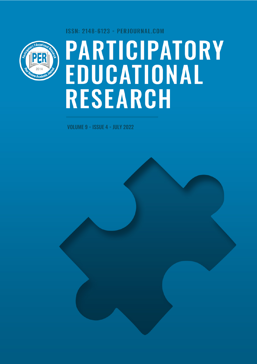ISSN: 2148-6123 · PERJOURNAL.COM



# **PARTICIPATORY<br>EDUCATIONAL<br>RESEARCH**

VOLUME 9 • ISSUE 4 • JULY 2022

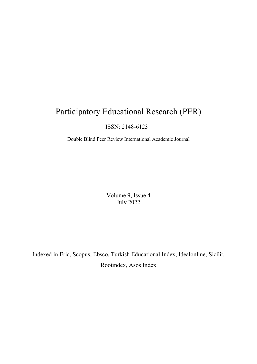# Participatory Educational Research (PER)

# ISSN: 2148-6123

Double Blind Peer Review International Academic Journal

Volume 9, Issue 4 July 2022

Indexed in Eric, Scopus, Ebsco, Turkish Educational Index, Idealonline, Sicilit, Rootindex, Asos Index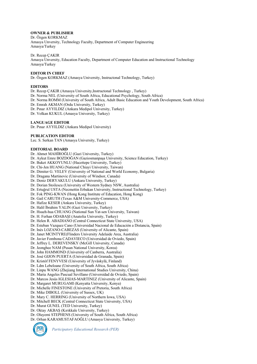### **OWNER & PUBLISHER**

Dr. Özgen KORKMAZ Amasya Unversity, Technology Faculty, Department of Computer Engineering Amasya/Turkey

Dr. Recep ÇAKIR

Amasya Unversity, Education Faculty, Department of Computer Education and Instructional Technology Amasya/Turkey

### **EDITOR IN CHIEF**

Dr. Özgen KORKMAZ (Amasya University, Instructonal Technology, Turkey)

### **EDITORS**

Dr. Recep ÇAKIR (Amasya University,Instructonal Technology , Turkey)

Dr. Norma NEL (University of South Africa, Educational Psychology, South Africa)

Dr. Norma ROMM (University of South Africa, Adult Basic Education and Youth Development, South Africa)

Dr. Emrah AKMAN (Ordu University, Turkey)

- Dr. Pınar AYYILDIZ (Ankara Medipol University, Turkey)
- Dr. Volkan KUKUL (Amasya University, Turkey)

### **LANGUAGE EDITOR**

Dr. Pınar AYYILDIZ (Ankara Medipol University)

### **PUBLICATION EDITOR**

Lec. S. Serkan TAN (Amasya University, Turkey)

### **EDITORIAL BOARD**

Dr. Ahmet MAHİROĞLU (Gazi University, Turkey) Dr. Aykut Emre BOZDOĞAN (Gaziosmanpaşa University, Science Education, Turkey) Dr. Buket AKKOYUNLU (Hacettepe University, Turkey) Dr. Chi-Jen HUANG (National Chiayi University, Taiwan) Dr. Dimiter G. VELEV (University of National and World Economy, Bulgaria) Dr. Dragana Martinovic (University of Windsor, Canada) Dr. Deniz DERYAKULU (Ankara University, Turkey) Dr. Dorian Stoilescu (University of Western Sydney NSW, Australia) Dr. Ertuğrul USTA (Necmettin Erbakan University, Instructional Technology, Turkey) Dr. Fok PING-KWAN (Hong Kong Institute of Education, Hong Kong) Dr. Gail CARUTH (Texas A&M University-Commerce, USA) Dr. Hafize KESER (Ankara University, Turkey) Dr. Halil İbrahim YALIN (Gazi University, Turkey) Dr. Hsueh-hua CHUANG (National Sun Yat-sen University, Taiwan) Dr. H. Ferhan ODABAŞI (Anatolia University, Turkey) Dr. Helen R. ABADIANO (Central Connecticut State University, USA) Dr. Esteban Vazquez Cano (Universidad Nacional de Educación a Distancia, Spain) Dr. Inés LOZANO-CABEZAS (University of Alicante, Spain) Dr. Janet MCINTYRE(Flinders University Adelaide Area, Australia) Dr. Javier Fombona CADAVIECO (Universidad de Oviedo, Spain) Dr. Jeffrey L. DEREVENSKY (McGill University, Canada) Dr. Jeonghee NAM (Pusan National University, Korea) Dr. John HAMMOND (University of Canberra, Australia) Dr. José GIJON PUERTA (Universidad de Granada, Spain) Dr. Kristóf FENYVESI (University of Jyväskylä, Finland) Dr. Ldm Lebeloane (University of South Africa, South Africa) Dr. Linpu WANG (Zhejiang International Studies University, China) Dr. Maria Angeles Pascual Sevillano (Universidad de Oviedo, Spain) Dr. Marcos Jesús IGLESIAS-MARTINEZ (University of Alicante, Spain) Dr. Margaret MURUGAMI (Kenyatta University, Kenya) Dr. Michelle FINESTONE (University of Pretoria, South Africa) Dr. Mike DIBOLL (University of Sussex, UK) Dr. Mary C. HERRING (University of Northern Iowa, USA) Dr. Mitchell BECK (Central Connecticut State University, USA) Dr. Murat GUNEL (TED University, Turkey) Dr. Oktay AKBAŞ (Kırıkkale University, Turkey) Dr. Oluyemi STEPHENS (University of South Africa, South Africa)

Dr. Orhan KARAMUSTAFAOĞLU (Amasya University, Turkey)



*Participatory Educational Research (PER)*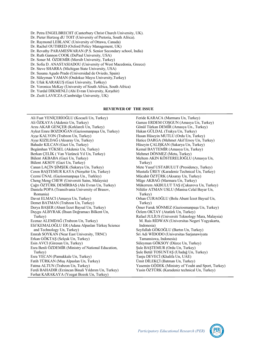Dr. Petra ENGELBRECHT (Canterbury Christ Church University, UK).

Dr. Pieter Hertzog dU TOIT (University of Pretoria, South Africa).

Dr. Raymond LEBLANC (University of Ottawa, Canada)

Dr. Rachel OUTHRED (Oxford Policy Management, UK)

Dr. Revathy PARAMESWARAN (P.S. Senior Secondary school, India)

Dr. Ruth Gannon COOK (DePaul University, USA)

Dr. Soner M. ÖZDEMİR (Mersib University, Turkey)

Dr. Sofia D. ANASTASIADOU (University of West Macedonia, Greece)

Dr. Steve SHARRA (Michigan State University, USA)

Dr. Susana Agudo Prado (Universidad de Oviedo, Spain)

Dr. Süleyman YAMAN (Ondokuz Mayıs University,Turkey)

Dr. Ufuk KARAKUŞ (Gazi University, Tu4key)

Dr. Veronica McKay (University of South Africa, South Africa)

Dr. Yurdal DİKMENLİ (Ahi Evran University, Kırşehir)

Dr. Zsolt LAVICZA (Cambridge University, UK)

### **REVIEWER OF THE ISSUE**

Ali Fuat YENİÇERİOĞLU (Kocaeli Un, Turkey) Ali ÖZKAYA (Akdeniz Un, Turkey) Arzu AKAR GENÇER (Kırklareli Un, Turkey) Aykut Emre BOZDOĞAN (Gaziosmanpaşa Un, Turkey) Ayşe KALYON (Trabzon Un, Turkey) Ayşe KIZILDAĞ (Aksaray Un, Turkey) Bahadır KILCAN (Gazi Un, Turkey) Begümhan YÜKSEL (Akdeniz Un, Turkey) Berkan ÇELİK ( Van Yüzüncü Yıl Un, Turkey) Bülent AKBABA (Gazi Un, Turkey) Bülent AKSOY (Gazi Un, Turkey) Canan LAÇİN ŞİMŞEK (Sakarya Un, Turkey) Ceren BAŞTEMUR KAYA (Nerşehir Un, Turkey) Cezmi ÜNAL (Gaziosmanpaşa Un., Turkley) Cheng Meng CHEW (Universiti Sains, Malaysia) Çağrı ÖZTÜRK DEMİRBAŞ (Ahi Evran Un, Turkey) Daniela POPA (Transilvania University of Brasov, Romania) Davut ELMACI (Amasya Un, Turkey) Demet BATMAN (Trabzon Un, Turkey) Derya BAŞER (Abant İzzet Baysal Un, Turkey) Duygu ALBYRAK (İhsan Doğramacı Bilkent Un, Turkey) Ecenaz ALEMDAĞ (Trabzon Un, Turkey) Elif KEMALOĞLU ER (Adana Alpaslan Türkeş Science and Technology Un, Turkey) Emrah SOYKAN (Near East University, TRNC) Erkan GÖKTAŞ (Selçuk Un, Turkey) Esin AVCI (Giresun Un, Turkey) Esra Benli ÖZDEMİR (Ministry of National Education, Turkey) Esra YECAN (Pamukkale Un, Turkey) Fatih TÜRKAN (Muş Alpaslan Un, Turkey) Fatma ALTUN (Trabzon Un, Turkey) Ferdi BAHADIR (Erzincan Binali Yıldırım Un, Turkey) Ferhat KARAKAYA (Yozgat Bozok Un, Turkey)

Feride KARACA (Marmara Un, Turkey) Gamze ERDEM COŞGUN (Amasya Un, Turkey) Gönül Türkan DEMİR (Amasya Un., Turkey) Hakan GÜLDAL (Trakya Un, Turkey) Hasan Hüseyin MUTLU (Ordu Un, Turkey) Hatice DARGA (Mehmet Akif Ersoy Un, Turkey) Hüseyin ÇALIŞKAN (Sakarya Un, Turkey) Kemal BAYTEMİR (Amasya Un, Turkey) Mehmet DÖNMEZ (Metu, Turkey) Meltem AKIN KÖSTERELİOĞLU (Amasya Un, Turkey) Mete Yusuf USTABULUT (Presidency, Turkey) Mustafa ÜREY (Karadeniz Technical Un, Turkey) Mücahit ÖZTÜRK (Aksaray Un, Turkey) Müge AKBAĞ (Marmara Un, Turkey) Mükerrem AKBULUT TAŞ (Çukurova Un, Turkey) Nilüfer ATMAN USLU (Manisa Celal Bayar Un, Turkey) Orhan CURAOĞLU (Bolu Abant İzzet Baysal Un, Turkey) Ömer Faruk SÖNMEZ (Gaziosmanpaşa Un, Turkey) Özlem OKTAY (Atatürk Un, Turkey) Rafael JULİUS (Universiti Teknology Mara, Malaysia) M. Rais RİDWAN (Universitas Negeri Yogyakarta, Indonesia) Seyfullah GÖKOĞLU (Bartın Un, Turkey) Sri Adi WİDODO (Universitas Sarjanawiyata Tamansiswa, Indonesia) Süleyman GÖKSOY (Düzce Un, Turkey) Şule BAŞTEMUR (Ordu Un, Turkey) Şule Betül TOSUNTAŞ (Uludağ Un, Turkey) Tanju DEVECİ (Khalifa Un, UAE) Ümit DİLEKÇİ (Batman Un, Turkey) Yasemin GÖDEK (Ministry of Youht and Sport, Turkey) Yasin ÖZTÜRK (Karadeniz technical Un, Turkey)

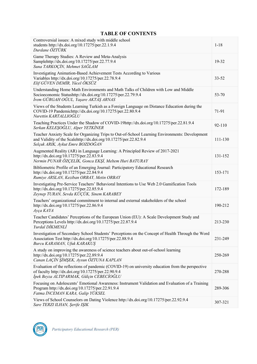## **TABLE OF CONTENTS**

| Controversial issues: A mixed study with middle school<br>students http://dx.doi.org/10.17275/per.22.1.9.4<br>Durdane ÖZTÜRK                                                                            | $1 - 18$   |
|---------------------------------------------------------------------------------------------------------------------------------------------------------------------------------------------------------|------------|
| Game Therapy Studies: A Review and Meta-Analysis<br>Samplehttp://dx.doi.org/10.17275/per.22.77.9.4<br>Suna TARKOÇİN, Mehmet SAĞLAM                                                                      | 19-32      |
| Investigating Animation-Based Achievement Tests According to Various<br>Variables http://dx.doi.org/10.17275/per.22.78.9.4<br>Elif GÜVEN DEMİR, Yücel ÖKSÜZ                                             | $33 - 52$  |
| Understanding Home Math Environments and Math Talks of Children with Low and Middle<br>Socioeconomic Statushttp://dx.doi.org/10.17275/per.22.79.9.4<br>İrem GÜRGAH OĞUL, Yaşare AKTAŞ ARNAS             | 53-70      |
| Views of the Students Learning Turkish as a Foreign Language on Distance Education during the<br>COVID-19 Pandemichttp://dx.doi.org/10.17275/per.22.80.9.4<br>Nurettin KARTALLIOĞLU                     | 71-91      |
| Teaching Practices Under the Shadow of COVID-19http://dx.doi.org/10.17275/per.22.81.9.4<br>Serkan KELEŞOĞLU, Alper YETKİNER                                                                             | $92 - 110$ |
| Teacher Anxiety Scale for Organizing Trips to Out-of-School Learning Environments: Development<br>and Validity of the Scalehttp://dx.doi.org/10.17275/per.22.82.9.4<br>Selçuk ARIK, Aykut Emre BOZDOĞAN | 111-130    |
| Augmented Reality (AR) in Language Learning: A Principled Review of 2017-2021<br>http://dx.doi.org/10.17275/per.22.83.9.4<br>Nermin PUNAR ÖZÇELİK, Gonca EKŞİ, Meltem Huri BATURAY                      | 131-152    |
| Bibliometric Profile of an Emerging Journal: Participatory Educational Research<br>http://dx.doi.org/10.17275/per.22.84.9.4<br>Rumiye ARSLAN, Keziban ORBAY, Metin ORBAY                                | 153-171    |
| Investigating Pre-Service Teachers' Behavioral Intentions to Use Web 2.0 Gamification Tools<br>http://dx.doi.org/10.17275/per.22.85.9.4<br>Zeynep TURAN, Sevda KÜÇÜK, Sinem KARABEY                     | 172-189    |
| Teachers' organizational commitment to internal and external stakeholders of the school<br>http://dx.doi.org/10.17275/per.22.86.9.4<br>Ayça KAYA                                                        | 190-212    |
| Teacher Candidates' Perceptions of the European Union (EU): A Scale Development Study and<br>Perceptions Levels http://dx.doi.org/10.17275/per.22.87.9.4<br>Yurdal DİKMENLİ                             | 213-230    |
| Investigation of Secondary School Students' Perceptions on the Concept of Health Through the Word<br>Association Test http://dx.doi.org/10.17275/per.22.88.9.4<br>Burcu KARAMAN, Ufuk KARAKUŞ           | 231-249    |
| A study on improving the awareness of science teachers about out-of-school learning<br>http://dx.doi.org/10.17275/per.22.89.9.4<br>Canan LAÇİN ŞİMŞEK, Aysun ÖZTUNA KAPLAN                              | 250-269    |
| Evaluation of the reflections of pandemic (COVID-19) on university education from the perspective<br>of faculty http://dx.doi.org/10.17275/per.22.90.9.4<br>İpek Beyza ALTIPARMAK, Gülçin CEBECİOĞLU    | 270-288    |
| Focusing on Adolescents' Emotional Awareness: Instrument Validation and Evaluation of a Training<br>Program http://dx.doi.org/10.17275/per.22.91.9.4<br>Fatma İNCEMAN KARA, Galip YÜKSEL                | 289-306    |
| Views of School Counselors on Dating Violence http://dx.doi.org/10.17275/per.22.92.9.4<br>Sare TERZI ILHAN, Şerife IŞIK                                                                                 | 307-321    |